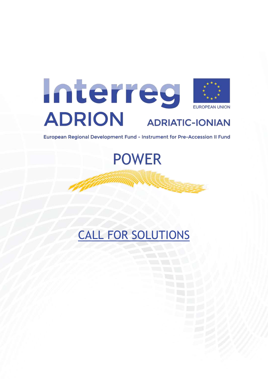

European Regional Development Fund - Instrument for Pre-Accession II Fund

**POWER** 

CALL FOR SOLUTIONS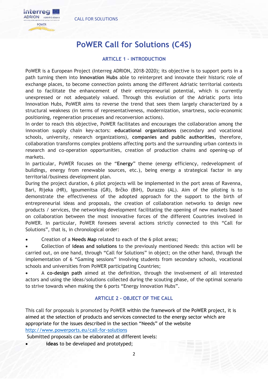

# **PoWER Call for Solutions (C4S)**

#### **ARTICLE 1 - INTRODUCTION**

PoWER is a European Project (Interreg ADRION, 2018-2020); its objective is to support ports in a path turning them into **Innovation Hubs** able to reinterpret and innovate their historic role of exchange places, to become connection points among the different Adriatic territorial contexts and to facilitate the enhancement of their entrepreneurial potential, which is currently unexpressed or not adequately valued. Through this evolution of the Adriatic ports into Innovation Hubs, PoWER aims to reverse the trend that sees them largely characterized by a structural weakness (in terms of representativeness, modernization, smartness, socio-economic positioning, regeneration processes and reconversion actions).

In order to reach this objective, PoWER facilitates and encourages the collaboration among the innovation supply chain key-actors: **educational organizations** (secondary and vocational schools, university, research organizations), **companies and public authorities**, therefore, collaboration transforms complex problems affecting ports and the surrounding urban contexts in research and co-operation opportunities, creation of production chains and opening-up of markets.

In particular, PoWER focuses on the "**Energy**" theme (energy efficiency, redevelopment of buildings, energy from renewable sources, etc.), being energy a strategical factor in any territorial/business development plan.

During the project duration, 6 pilot projects will be implemented in the port areas of Ravenna, Bari, Rijeka (HR), Igoumenitsa (GR), Brčko (BiH), Durazzo (AL). Aim of the piloting is to demonstrate the effectiveness of the adopted approach for the support to the birth of entrepreneurial ideas and proposals, the creation of collaboration networks to design new products / services, the networking development facilitating the opening of new markets based on collaboration between the most innovative forces of the different Countries involved in PoWER. In particular, PoWER foresees several actions strictly connected to this "Call for Solutions", that is, in chronological order:

Creation of a **Needs Map** related to each of the 6 pilot areas;

 **C**ollection of **ideas and solutions** to the previously mentioned Needs: this action will be carried out, on one hand, through "Call for Solutions" in object; on the other hand, through the implementation of 6 "Gaming sessions" involving students from secondary schools, vocational schools and universities from PoWER participating Countries;

 A **co-design path** aimed at the definition, through the involvement of all interested actors and using the ideas/solutions collected during the scouting phase, of the optimal scenario to strive towards when making the 6 ports "Energy Innovation Hubs".

# **ARTICLE 2 – OBJECT OF THE CALL**

This call for proposals is promoted by PoWER within the framework of the PoWER project, it is aimed at the selection of products and services connected to the energy sector which are appropriate for the issues described in the section "Needs" of the website <http://www.powerports.eu/call-for-solutions>

Submitted proposals can be elaborated at different levels:

**ideas** to be developed and prototyped;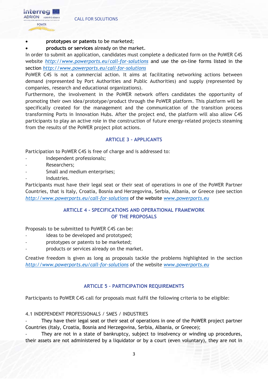

#### **prototypes or patents** to be marketed;

#### **products or services** already on the market.

In order to submit an application, candidates must complete a dedicated form on the PoWER C4S website *<http://www.powerports.eu/call-for-solutions>* and use the on-line forms listed in the section *<http://www.powerports.eu/call-for-solutions>*

PoWER C4S is not a commercial action. It aims at facilitating networking actions between demand (represented by Port Authorities and Public Authorities) and supply (represented by companies, research and educational organizations).

Furthermore, the involvement in the PoWER network offers candidates the opportunity of promoting their own idea/prototype/product through the PoWER platform. This platform will be specifically created for the management and the communication of the transition process transforming Ports in Innovation Hubs. After the project end, the platform will also allow C4S participants to play an active role in the construction of future energy-related projects steaming from the results of the PoWER project pilot actions.

# **ARTICLE 3 - APPLICANTS**

Participation to PoWER C4S is free of charge and is addressed to:

- Independent professionals;
- Researchers;
- Small and medium enterprises;
- Industries.

Participants must have their legal seat or their seat of operations in one of the PoWER Partner Countries, that is Italy, Croatia, Bosnia and Herzegovina, Serbia, Albania, or Greece (see section *[http://www.powerports.eu/call-for-solutions](http://www.powerports.eu/en/call-for-solutions-en)* of the website *[www.powerports.eu](http://www.powerports.eu/)*

#### **ARTICLE 4 - SPECIFICATIONS AND OPERATIONAL FRAMEWORK OF THE PROPOSALS**

Proposals to be submitted to PoWER C4S can be:

- ideas to be developed and prototyped;
- prototypes or patents to be marketed;
- products or services already on the market.

Creative freedom is given as long as proposals tackle the problems highlighted in the section *<http://www.powerports.eu/call-for-solutions>* of the website *[www.powerports.eu](http://www.powerports.eu/)*

# **ARTICLE 5 – PARTICIPATION REQUIREMENTS**

Participants to PoWER C4S call for proposals must fulfil the following criteria to be eligible:

4.1 INDEPENDENT PROFESSIONALS / SMES / INDUSTRIES

They have their legal seat or their seat of operations in one of the PoWER project partner Countries (Italy, Croatia, Bosnia and Herzegovina, Serbia, Albania, or Greece);

They are not in a state of bankruptcy, subject to insolvency or winding up procedures, their assets are not administered by a liquidator or by a court (even voluntary), they are not in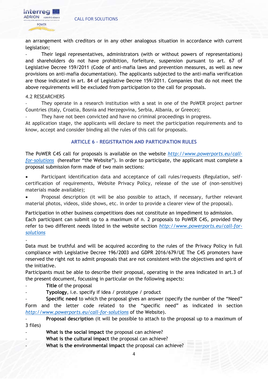#### CALL FOR SOLUTIONS



an arrangement with creditors or in any other analogous situation in accordance with current legislation;

- Their legal representatives, administrators (with or without powers of representations) and shareholders do not have prohibition, forfeiture, suspension pursuant to art. 67 of Legislative Decree 159/2011 (Code of anti-mafia laws and prevention measures, as well as new provisions on anti-mafia documentation). The applicants subjected to the anti-mafia verification are those indicated in art. 84 of Legislative Decree 159/2011. Companies that do not meet the above requirements will be excluded from participation to the call for proposals.

#### 4.2 RESEARCHERS

They operate in a research institution with a seat in one of the PoWER project partner Countries (Italy, Croatia, Bosnia and Herzegovina, Serbia, Albania, or Greece);

They have not been convicted and have no criminal proceedings in progress.

At application stage, the applicants will declare to meet the participation requirements and to know, accept and consider binding all the rules of this call for proposals.

#### **ARTICLE 6 – REGISTRATION AND PARTICIPATION RULES**

The PoWER C4S call for proposals is available on the website *[http://www.powerports.eu/call](http://www.powerports.eu/call-for-solutions)[for-solutions](http://www.powerports.eu/call-for-solutions)* (hereafter "the Website"). In order to participate, the applicant must complete a proposal submission form made of two main sections:

 Participant identification data and acceptance of call rules/requests (Regulation, selfcertification of requirements, Website Privacy Policy, release of the use of (non-sensitive) materials made available);

 Proposal description (it will be also possible to attach, if necessary, further relevant material photos, videos, slide shows, etc. in order to provide a clearer view of the proposal).

Participation in other business competitions does not constitute an impediment to admission. Each participant can submit up to a maximum of n. 2 proposals to PoWER C4S, provided they refer to two different needs listed in the website section *[http://www.powerports.eu/call-for](http://www.powerports.eu/call-for-solutions)[solutions](http://www.powerports.eu/call-for-solutions)*

Data must be truthful and will be acquired according to the rules of the Privacy Policy in full compliance with Legislative Decree 196/2003 and GDPR 2016/679/UE The C4S promoters have reserved the right not to admit proposals that are not consistent with the objectives and spirit of the initiative.

Participants must be able to describe their proposal, operating in the area indicated in art.3 of the present document, focussing in particular on the following aspects:

**Title of the proposal** 

.

**Typology**, i.e. specify if idea / prototype / product

- **Specific need** to which the proposal gives an answer (specify the number of the "Need" Form and the letter code related to the "specific need" as indicated in section *<http://www.powerports.eu/call-for-solutions>* of the Website).

- **Proposal description** (it will be possible to attach to the proposal up to a maximum of 3 files)

What is the social impact the proposal can achieve?

- What is the cultural impact the proposal can achieve?
- What is the environmental impact the proposal can achieve?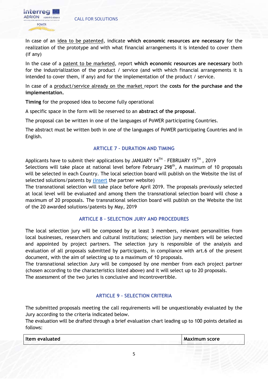

In case of an idea to be patented, indicate **which economic resources are necessary** for the realization of the prototype and with what financial arrangements it is intended to cover them (if any)

In the case of a patent to be marketed, report **which economic resources are necessary** both for the industrialization of the product / service (and with which financial arrangements it is intended to cover them, if any) and for the implementation of the product / service.

In case of a product/service already on the market report the **costs for the purchase and the implementation.**

**Timing** for the proposed idea to become fully operational

A specific space in the form will be reserved to an **abstract of the proposal**.

The proposal can be written in one of the languages of PoWER participating Countries.

The abstract must be written both in one of the languages of PoWER participating Countries and in English.

# **ARTICLE 7 – DURATION AND TIMING**

Applicants have to submit their applications by JANUARY 14<sup>TH</sup> - FEBRUARY 15<sup>TH</sup>, 2019 Selections will take place at national level before February 298<sup>th</sup>, A maximum of 10 proposals will be selected in each Country. The local selection board will publish on the Website the list of selected solutions/patents by [\(insert](http://www.ra.cna.it/) the partner website)

The transnational selection will take place before April 2019. The proposals previously selected at local level will be evaluated and among them the transnational selection board will chose a maximum of 20 proposals. The transnational selection board will publish on the Website the list of the 20 awarded solutions/patents by May, 2019

# **ARTICLE 8 – SELECTION JURY AND PROCEDURES**

The local selection jury will be composed by at least 3 members, relevant personalities from local businesses, researchers and cultural institutions; selection jury members will be selected and appointed by project partners. The selection jury is responsible of the analysis and evaluation of all proposals submitted by participants, in compliance with art.6 of the present document, with the aim of selecting up to a maximum of 10 proposals.

The transnational selection Jury will be composed by one member from each project partner (chosen according to the characteristics listed above) and it will select up to 20 proposals. The assessment of the two juries is conclusive and incontrovertible.

# **ARTICLE 9 – SELECTION CRITERIA**

The submitted proposals meeting the call requirements will be unquestionably evaluated by the Jury according to the criteria indicated below.

The evaluation will be drafted through a brief evaluation chart leading up to 100 points detailed as follows:

| Item evaluated | Maximum score |
|----------------|---------------|
|----------------|---------------|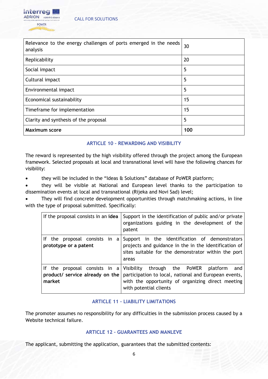

| Relevance to the energy challenges of ports emerged in the needs<br>analysis | 30  |
|------------------------------------------------------------------------------|-----|
| Replicability                                                                | 20  |
| Social impact                                                                | 5   |
| Cultural impact                                                              | 5   |
| Environmental impact                                                         | 5   |
| Economical sustainability                                                    | 15  |
| Timeframe for implementation                                                 | 15  |
| Clarity and synthesis of the proposal                                        | 5   |
| <b>Maximum score</b>                                                         | 100 |

# **ARTICLE 10 – REWARDING AND VISIBILITY**

The reward is represented by the high visibility offered through the project among the European framework. Selected proposals at local and transnational level will have the following chances for visibility:

they will be included in the "Ideas & Solutions" database of PoWER platform;

 they will be visible at National and European level thanks to the participation to dissemination events at local and transnational (Rijeka and Novi Sad) level;

 They will find concrete development opportunities through matchmaking actions, in line with the type of proposal submitted. Specifically:

| If the proposal consists in an idea                    | Support in the identification of public and/or private<br>organizations guiding in the development of the<br>patent                                                                                                |
|--------------------------------------------------------|--------------------------------------------------------------------------------------------------------------------------------------------------------------------------------------------------------------------|
| If the proposal consists in a<br>prototype or a patent | Support in the identification of demonstrators<br>projects and guidance in the in the identification of<br>sites suitable for the demonstrator within the port<br>areas                                            |
| product/ service already on the<br>market              | If the proposal consists in a Visibility through the PoWER platform<br>and<br>participation to local, national and European events,<br>with the opportunity of organizing direct meeting<br>with potential clients |

# **ARTICLE 11 – LIABILITY LIMITATIONS**

The promoter assumes no responsibility for any difficulties in the submission process caused by a Website technical failure.

# **ARTICLE 12 – GUARANTEES AND MANLEVE**

The applicant, submitting the application, guarantees that the submitted contents: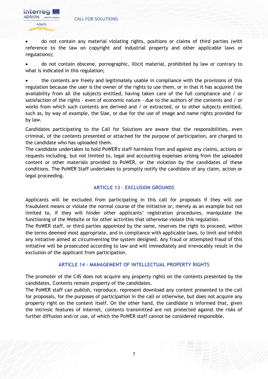

 do not contain any material violating rights, positions or claims of third parties (with reference to the law on copyright and industrial property and other applicable laws or regulations);

 do not contain obscene, pornographic, illicit material, prohibited by law or contrary to what is indicated in this regulation;

• the contents are freely and legitimately usable in compliance with the provisions of this regulation because the user is the owner of the rights to use them, or in that it has acquired the availability from all the subjects entitled, having taken care of the full compliance and / or satisfaction of the rights - even of economic nature - due to the authors of the contents and / or works from which such contents are derived and / or extracted, or to other subjects entitled, such as, by way of example, the Siae, or due for the use of image and name rights provided for by law.

Candidates participating to the Call for Solutions are aware that the responsibilities, even criminal, of the contents presented or attached for the purpose of participation, are charged to the candidate who has uploaded them.

The candidate undertakes to hold PoWER's staff harmless from and against any claims, actions or requests including, but not limited to, legal and accounting expenses arising from the uploaded content or other materials provided to PoWER, or the violation by the candidates of these conditions. The PoWER Staff undertakes to promptly notify the candidate of any claim, action or legal proceeding.

#### **ARTICLE 13 – EXCLUSION GROUNDS**

Applicants will be excluded from participating in this call for proposals if they will use fraudulent means or violate the normal course of the initiative or, merely as an example but not limited to, if they will hinder other applicants' registration procedures, manipulate the functioning of the Website or for other activities that otherwise violate this regulation.

The PoWER staff, or third parties appointed by the same, reserves the right to proceed, within the terms deemed most appropriate, and in compliance with applicable laws, to limit and inhibit any initiative aimed at circumventing the system designed. Any fraud or attempted fraud of this initiative will be prosecuted according to law and will immediately and irrevocably result in the exclusion of the applicant from participation.

#### **ARTICLE 14 – MANAGEMENT OF INTELLECTUAL PROPERTY RIGHTS**

The promoter of the C4S does not acquire any property rights on the contents presented by the candidates. Contents remain property of the candidates.

The PoWER staff can publish, reproduce, represent download any content presented to the call for proposals, for the purposes of participation in the call or otherwise, but does not acquire any property right on the content itself. On the other hand, the candidate is informed that, given the intrinsic features of Internet, contents transmitted are not protected against the risks of further diffusion and/or use, of which the PoWER staff cannot be considered responsible.